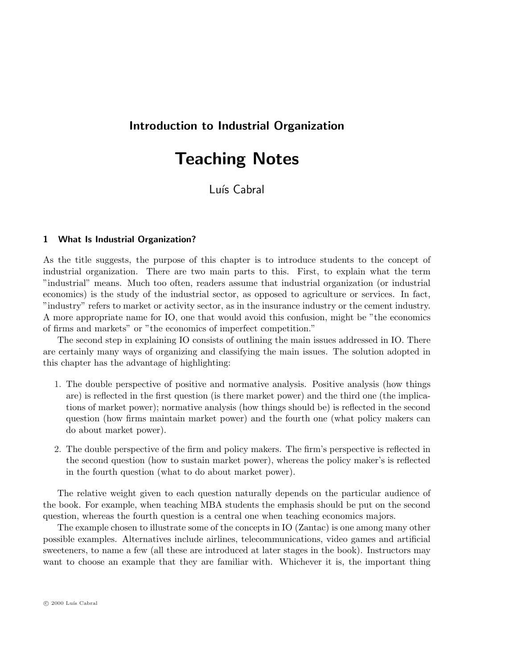# Introduction to Industrial Organization

# Teaching Notes

# Luís Cabral

## 1 What Is Industrial Organization?

As the title suggests, the purpose of this chapter is to introduce students to the concept of industrial organization. There are two main parts to this. First, to explain what the term "industrial" means. Much too often, readers assume that industrial organization (or industrial economics) is the study of the industrial sector, as opposed to agriculture or services. In fact, "industry" refers to market or activity sector, as in the insurance industry or the cement industry. A more appropriate name for IO, one that would avoid this confusion, might be "the economics of firms and markets" or "the economics of imperfect competition."

The second step in explaining IO consists of outlining the main issues addressed in IO. There are certainly many ways of organizing and classifying the main issues. The solution adopted in this chapter has the advantage of highlighting:

- 1. The double perspective of positive and normative analysis. Positive analysis (how things are) is reflected in the first question (is there market power) and the third one (the implications of market power); normative analysis (how things should be) is reflected in the second question (how firms maintain market power) and the fourth one (what policy makers can do about market power).
- 2. The double perspective of the firm and policy makers. The firm's perspective is reflected in the second question (how to sustain market power), whereas the policy maker's is reflected in the fourth question (what to do about market power).

The relative weight given to each question naturally depends on the particular audience of the book. For example, when teaching MBA students the emphasis should be put on the second question, whereas the fourth question is a central one when teaching economics majors.

The example chosen to illustrate some of the concepts in IO (Zantac) is one among many other possible examples. Alternatives include airlines, telecommunications, video games and artificial sweeteners, to name a few (all these are introduced at later stages in the book). Instructors may want to choose an example that they are familiar with. Whichever it is, the important thing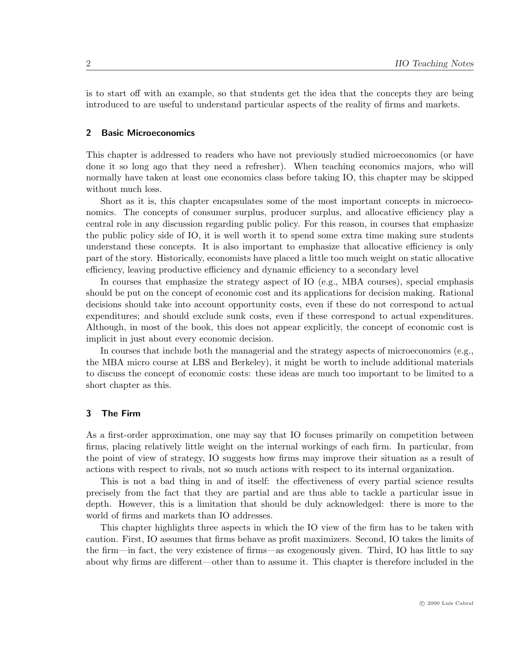is to start off with an example, so that students get the idea that the concepts they are being introduced to are useful to understand particular aspects of the reality of firms and markets.

#### 2 Basic Microeconomics

This chapter is addressed to readers who have not previously studied microeconomics (or have done it so long ago that they need a refresher). When teaching economics majors, who will normally have taken at least one economics class before taking IO, this chapter may be skipped without much loss.

Short as it is, this chapter encapsulates some of the most important concepts in microeconomics. The concepts of consumer surplus, producer surplus, and allocative efficiency play a central role in any discussion regarding public policy. For this reason, in courses that emphasize the public policy side of IO, it is well worth it to spend some extra time making sure students understand these concepts. It is also important to emphasize that allocative efficiency is only part of the story. Historically, economists have placed a little too much weight on static allocative efficiency, leaving productive efficiency and dynamic efficiency to a secondary level

In courses that emphasize the strategy aspect of IO (e.g., MBA courses), special emphasis should be put on the concept of economic cost and its applications for decision making. Rational decisions should take into account opportunity costs, even if these do not correspond to actual expenditures; and should exclude sunk costs, even if these correspond to actual expenditures. Although, in most of the book, this does not appear explicitly, the concept of economic cost is implicit in just about every economic decision.

In courses that include both the managerial and the strategy aspects of microeconomics (e.g., the MBA micro course at LBS and Berkeley), it might be worth to include additional materials to discuss the concept of economic costs: these ideas are much too important to be limited to a short chapter as this.

## 3 The Firm

As a first-order approximation, one may say that IO focuses primarily on competition between firms, placing relatively little weight on the internal workings of each firm. In particular, from the point of view of strategy, IO suggests how firms may improve their situation as a result of actions with respect to rivals, not so much actions with respect to its internal organization.

This is not a bad thing in and of itself: the effectiveness of every partial science results precisely from the fact that they are partial and are thus able to tackle a particular issue in depth. However, this is a limitation that should be duly acknowledged: there is more to the world of firms and markets than IO addresses.

This chapter highlights three aspects in which the IO view of the firm has to be taken with caution. First, IO assumes that firms behave as profit maximizers. Second, IO takes the limits of the firm—in fact, the very existence of firms—as exogenously given. Third, IO has little to say about why firms are different—other than to assume it. This chapter is therefore included in the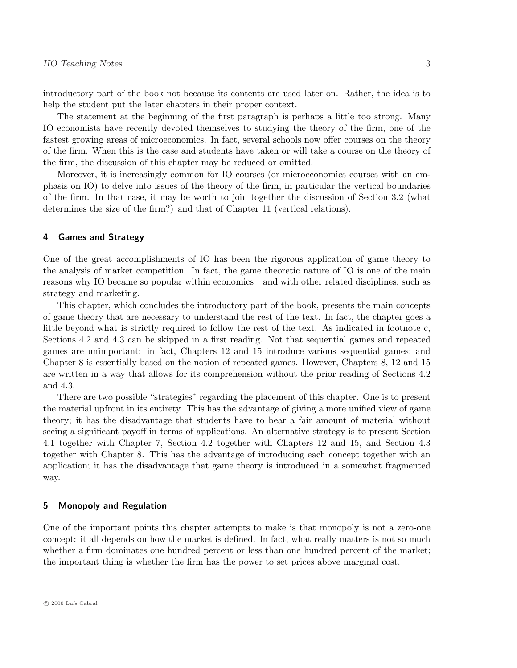introductory part of the book not because its contents are used later on. Rather, the idea is to help the student put the later chapters in their proper context.

The statement at the beginning of the first paragraph is perhaps a little too strong. Many IO economists have recently devoted themselves to studying the theory of the firm, one of the fastest growing areas of microeconomics. In fact, several schools now offer courses on the theory of the firm. When this is the case and students have taken or will take a course on the theory of the firm, the discussion of this chapter may be reduced or omitted.

Moreover, it is increasingly common for IO courses (or microeconomics courses with an emphasis on IO) to delve into issues of the theory of the firm, in particular the vertical boundaries of the firm. In that case, it may be worth to join together the discussion of Section 3.2 (what determines the size of the firm?) and that of Chapter 11 (vertical relations).

#### 4 Games and Strategy

One of the great accomplishments of IO has been the rigorous application of game theory to the analysis of market competition. In fact, the game theoretic nature of IO is one of the main reasons why IO became so popular within economics—and with other related disciplines, such as strategy and marketing.

This chapter, which concludes the introductory part of the book, presents the main concepts of game theory that are necessary to understand the rest of the text. In fact, the chapter goes a little beyond what is strictly required to follow the rest of the text. As indicated in footnote c, Sections 4.2 and 4.3 can be skipped in a first reading. Not that sequential games and repeated games are unimportant: in fact, Chapters 12 and 15 introduce various sequential games; and Chapter 8 is essentially based on the notion of repeated games. However, Chapters 8, 12 and 15 are written in a way that allows for its comprehension without the prior reading of Sections 4.2 and 4.3.

There are two possible "strategies" regarding the placement of this chapter. One is to present the material upfront in its entirety. This has the advantage of giving a more unified view of game theory; it has the disadvantage that students have to bear a fair amount of material without seeing a significant payoff in terms of applications. An alternative strategy is to present Section 4.1 together with Chapter 7, Section 4.2 together with Chapters 12 and 15, and Section 4.3 together with Chapter 8. This has the advantage of introducing each concept together with an application; it has the disadvantage that game theory is introduced in a somewhat fragmented way.

#### 5 Monopoly and Regulation

One of the important points this chapter attempts to make is that monopoly is not a zero-one concept: it all depends on how the market is defined. In fact, what really matters is not so much whether a firm dominates one hundred percent or less than one hundred percent of the market; the important thing is whether the firm has the power to set prices above marginal cost.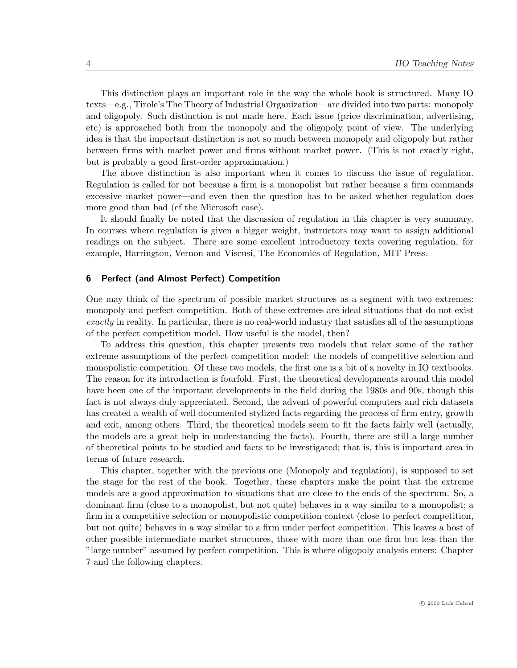This distinction plays an important role in the way the whole book is structured. Many IO texts—e.g., Tirole's The Theory of Industrial Organization—are divided into two parts: monopoly and oligopoly. Such distinction is not made here. Each issue (price discrimination, advertising, etc) is approached both from the monopoly and the oligopoly point of view. The underlying idea is that the important distinction is not so much between monopoly and oligopoly but rather between firms with market power and firms without market power. (This is not exactly right, but is probably a good first-order approximation.)

The above distinction is also important when it comes to discuss the issue of regulation. Regulation is called for not because a firm is a monopolist but rather because a firm commands excessive market power—and even then the question has to be asked whether regulation does more good than bad (cf the Microsoft case).

It should finally be noted that the discussion of regulation in this chapter is very summary. In courses where regulation is given a bigger weight, instructors may want to assign additional readings on the subject. There are some excellent introductory texts covering regulation, for example, Harrington, Vernon and Viscusi, The Economics of Regulation, MIT Press.

# 6 Perfect (and Almost Perfect) Competition

One may think of the spectrum of possible market structures as a segment with two extremes: monopoly and perfect competition. Both of these extremes are ideal situations that do not exist exactly in reality. In particular, there is no real-world industry that satisfies all of the assumptions of the perfect competition model. How useful is the model, then?

To address this question, this chapter presents two models that relax some of the rather extreme assumptions of the perfect competition model: the models of competitive selection and monopolistic competition. Of these two models, the first one is a bit of a novelty in IO textbooks. The reason for its introduction is fourfold. First, the theoretical developments around this model have been one of the important developments in the field during the 1980s and 90s, though this fact is not always duly appreciated. Second, the advent of powerful computers and rich datasets has created a wealth of well documented stylized facts regarding the process of firm entry, growth and exit, among others. Third, the theoretical models seem to fit the facts fairly well (actually, the models are a great help in understanding the facts). Fourth, there are still a large number of theoretical points to be studied and facts to be investigated; that is, this is important area in terms of future research.

This chapter, together with the previous one (Monopoly and regulation), is supposed to set the stage for the rest of the book. Together, these chapters make the point that the extreme models are a good approximation to situations that are close to the ends of the spectrum. So, a dominant firm (close to a monopolist, but not quite) behaves in a way similar to a monopolist; a firm in a competitive selection or monopolistic competition context (close to perfect competition, but not quite) behaves in a way similar to a firm under perfect competition. This leaves a host of other possible intermediate market structures, those with more than one firm but less than the "large number" assumed by perfect competition. This is where oligopoly analysis enters: Chapter 7 and the following chapters.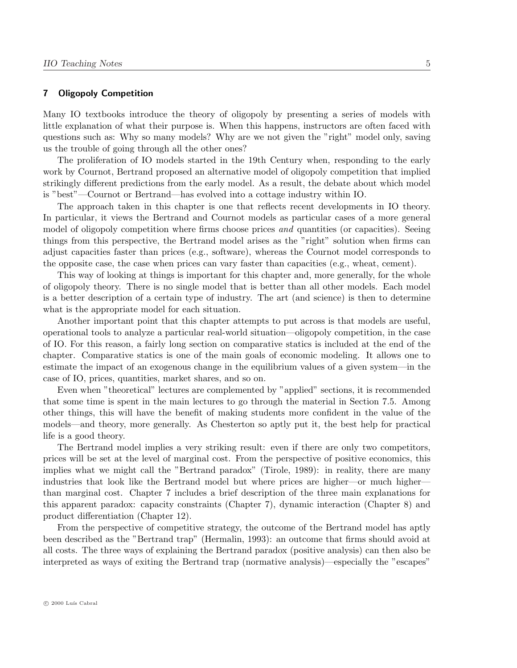# 7 Oligopoly Competition

Many IO textbooks introduce the theory of oligopoly by presenting a series of models with little explanation of what their purpose is. When this happens, instructors are often faced with questions such as: Why so many models? Why are we not given the "right" model only, saving us the trouble of going through all the other ones?

The proliferation of IO models started in the 19th Century when, responding to the early work by Cournot, Bertrand proposed an alternative model of oligopoly competition that implied strikingly different predictions from the early model. As a result, the debate about which model is "best"—Cournot or Bertrand—has evolved into a cottage industry within IO.

The approach taken in this chapter is one that reflects recent developments in IO theory. In particular, it views the Bertrand and Cournot models as particular cases of a more general model of oligopoly competition where firms choose prices *and* quantities (or capacities). Seeing things from this perspective, the Bertrand model arises as the "right" solution when firms can adjust capacities faster than prices (e.g., software), whereas the Cournot model corresponds to the opposite case, the case when prices can vary faster than capacities (e.g., wheat, cement).

This way of looking at things is important for this chapter and, more generally, for the whole of oligopoly theory. There is no single model that is better than all other models. Each model is a better description of a certain type of industry. The art (and science) is then to determine what is the appropriate model for each situation.

Another important point that this chapter attempts to put across is that models are useful, operational tools to analyze a particular real-world situation—oligopoly competition, in the case of IO. For this reason, a fairly long section on comparative statics is included at the end of the chapter. Comparative statics is one of the main goals of economic modeling. It allows one to estimate the impact of an exogenous change in the equilibrium values of a given system—in the case of IO, prices, quantities, market shares, and so on.

Even when "theoretical" lectures are complemented by "applied" sections, it is recommended that some time is spent in the main lectures to go through the material in Section 7.5. Among other things, this will have the benefit of making students more confident in the value of the models—and theory, more generally. As Chesterton so aptly put it, the best help for practical life is a good theory.

The Bertrand model implies a very striking result: even if there are only two competitors, prices will be set at the level of marginal cost. From the perspective of positive economics, this implies what we might call the "Bertrand paradox" (Tirole, 1989): in reality, there are many industries that look like the Bertrand model but where prices are higher—or much higher than marginal cost. Chapter 7 includes a brief description of the three main explanations for this apparent paradox: capacity constraints (Chapter 7), dynamic interaction (Chapter 8) and product differentiation (Chapter 12).

From the perspective of competitive strategy, the outcome of the Bertrand model has aptly been described as the "Bertrand trap" (Hermalin, 1993): an outcome that firms should avoid at all costs. The three ways of explaining the Bertrand paradox (positive analysis) can then also be interpreted as ways of exiting the Bertrand trap (normative analysis)—especially the "escapes"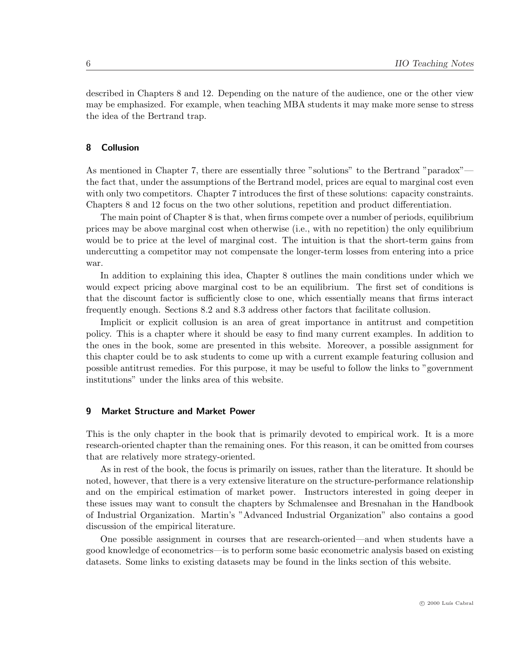described in Chapters 8 and 12. Depending on the nature of the audience, one or the other view may be emphasized. For example, when teaching MBA students it may make more sense to stress the idea of the Bertrand trap.

# 8 Collusion

As mentioned in Chapter 7, there are essentially three "solutions" to the Bertrand "paradox" the fact that, under the assumptions of the Bertrand model, prices are equal to marginal cost even with only two competitors. Chapter 7 introduces the first of these solutions: capacity constraints. Chapters 8 and 12 focus on the two other solutions, repetition and product differentiation.

The main point of Chapter 8 is that, when firms compete over a number of periods, equilibrium prices may be above marginal cost when otherwise (i.e., with no repetition) the only equilibrium would be to price at the level of marginal cost. The intuition is that the short-term gains from undercutting a competitor may not compensate the longer-term losses from entering into a price war.

In addition to explaining this idea, Chapter 8 outlines the main conditions under which we would expect pricing above marginal cost to be an equilibrium. The first set of conditions is that the discount factor is sufficiently close to one, which essentially means that firms interact frequently enough. Sections 8.2 and 8.3 address other factors that facilitate collusion.

Implicit or explicit collusion is an area of great importance in antitrust and competition policy. This is a chapter where it should be easy to find many current examples. In addition to the ones in the book, some are presented in this website. Moreover, a possible assignment for this chapter could be to ask students to come up with a current example featuring collusion and possible antitrust remedies. For this purpose, it may be useful to follow the links to "government institutions" under the links area of this website.

#### 9 Market Structure and Market Power

This is the only chapter in the book that is primarily devoted to empirical work. It is a more research-oriented chapter than the remaining ones. For this reason, it can be omitted from courses that are relatively more strategy-oriented.

As in rest of the book, the focus is primarily on issues, rather than the literature. It should be noted, however, that there is a very extensive literature on the structure-performance relationship and on the empirical estimation of market power. Instructors interested in going deeper in these issues may want to consult the chapters by Schmalensee and Bresnahan in the Handbook of Industrial Organization. Martin's "Advanced Industrial Organization" also contains a good discussion of the empirical literature.

One possible assignment in courses that are research-oriented—and when students have a good knowledge of econometrics—is to perform some basic econometric analysis based on existing datasets. Some links to existing datasets may be found in the links section of this website.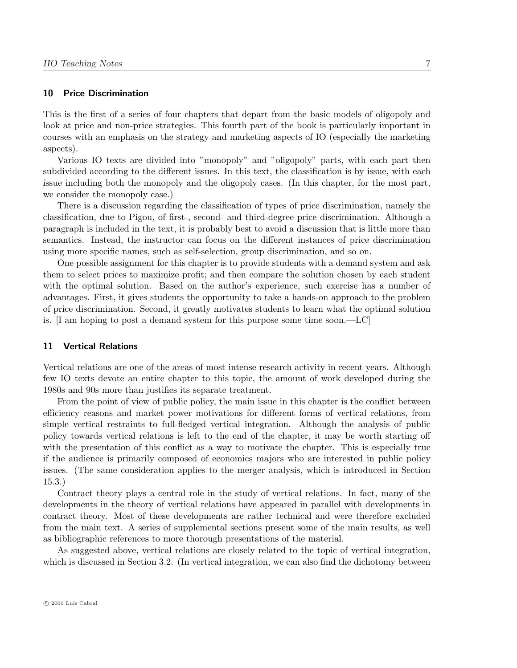#### 10 Price Discrimination

This is the first of a series of four chapters that depart from the basic models of oligopoly and look at price and non-price strategies. This fourth part of the book is particularly important in courses with an emphasis on the strategy and marketing aspects of IO (especially the marketing aspects).

Various IO texts are divided into "monopoly" and "oligopoly" parts, with each part then subdivided according to the different issues. In this text, the classification is by issue, with each issue including both the monopoly and the oligopoly cases. (In this chapter, for the most part, we consider the monopoly case.)

There is a discussion regarding the classification of types of price discrimination, namely the classification, due to Pigou, of first-, second- and third-degree price discrimination. Although a paragraph is included in the text, it is probably best to avoid a discussion that is little more than semantics. Instead, the instructor can focus on the different instances of price discrimination using more specific names, such as self-selection, group discrimination, and so on.

One possible assignment for this chapter is to provide students with a demand system and ask them to select prices to maximize profit; and then compare the solution chosen by each student with the optimal solution. Based on the author's experience, such exercise has a number of advantages. First, it gives students the opportunity to take a hands-on approach to the problem of price discrimination. Second, it greatly motivates students to learn what the optimal solution is. [I am hoping to post a demand system for this purpose some time soon.—LC]

# 11 Vertical Relations

Vertical relations are one of the areas of most intense research activity in recent years. Although few IO texts devote an entire chapter to this topic, the amount of work developed during the 1980s and 90s more than justifies its separate treatment.

From the point of view of public policy, the main issue in this chapter is the conflict between efficiency reasons and market power motivations for different forms of vertical relations, from simple vertical restraints to full-fledged vertical integration. Although the analysis of public policy towards vertical relations is left to the end of the chapter, it may be worth starting off with the presentation of this conflict as a way to motivate the chapter. This is especially true if the audience is primarily composed of economics majors who are interested in public policy issues. (The same consideration applies to the merger analysis, which is introduced in Section 15.3.)

Contract theory plays a central role in the study of vertical relations. In fact, many of the developments in the theory of vertical relations have appeared in parallel with developments in contract theory. Most of these developments are rather technical and were therefore excluded from the main text. A series of supplemental sections present some of the main results, as well as bibliographic references to more thorough presentations of the material.

As suggested above, vertical relations are closely related to the topic of vertical integration, which is discussed in Section 3.2. (In vertical integration, we can also find the dichotomy between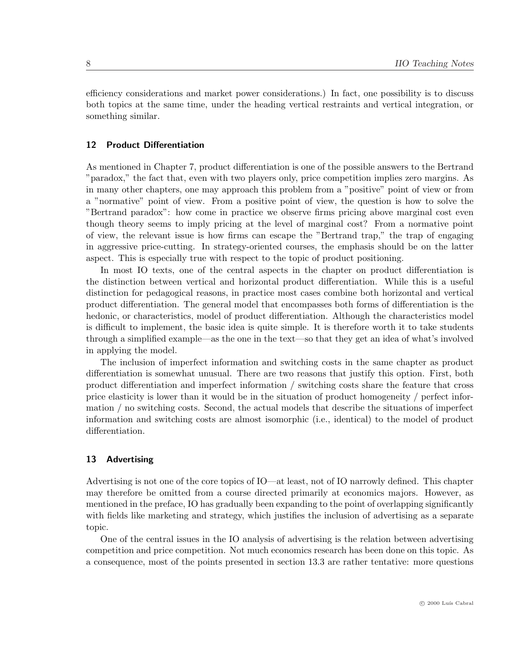efficiency considerations and market power considerations.) In fact, one possibility is to discuss both topics at the same time, under the heading vertical restraints and vertical integration, or something similar.

# 12 Product Differentiation

As mentioned in Chapter 7, product differentiation is one of the possible answers to the Bertrand "paradox," the fact that, even with two players only, price competition implies zero margins. As in many other chapters, one may approach this problem from a "positive" point of view or from a "normative" point of view. From a positive point of view, the question is how to solve the "Bertrand paradox": how come in practice we observe firms pricing above marginal cost even though theory seems to imply pricing at the level of marginal cost? From a normative point of view, the relevant issue is how firms can escape the "Bertrand trap," the trap of engaging in aggressive price-cutting. In strategy-oriented courses, the emphasis should be on the latter aspect. This is especially true with respect to the topic of product positioning.

In most IO texts, one of the central aspects in the chapter on product differentiation is the distinction between vertical and horizontal product differentiation. While this is a useful distinction for pedagogical reasons, in practice most cases combine both horizontal and vertical product differentiation. The general model that encompasses both forms of differentiation is the hedonic, or characteristics, model of product differentiation. Although the characteristics model is difficult to implement, the basic idea is quite simple. It is therefore worth it to take students through a simplified example—as the one in the text—so that they get an idea of what's involved in applying the model.

The inclusion of imperfect information and switching costs in the same chapter as product differentiation is somewhat unusual. There are two reasons that justify this option. First, both product differentiation and imperfect information / switching costs share the feature that cross price elasticity is lower than it would be in the situation of product homogeneity / perfect information / no switching costs. Second, the actual models that describe the situations of imperfect information and switching costs are almost isomorphic (i.e., identical) to the model of product differentiation.

# 13 Advertising

Advertising is not one of the core topics of IO—at least, not of IO narrowly defined. This chapter may therefore be omitted from a course directed primarily at economics majors. However, as mentioned in the preface, IO has gradually been expanding to the point of overlapping significantly with fields like marketing and strategy, which justifies the inclusion of advertising as a separate topic.

One of the central issues in the IO analysis of advertising is the relation between advertising competition and price competition. Not much economics research has been done on this topic. As a consequence, most of the points presented in section 13.3 are rather tentative: more questions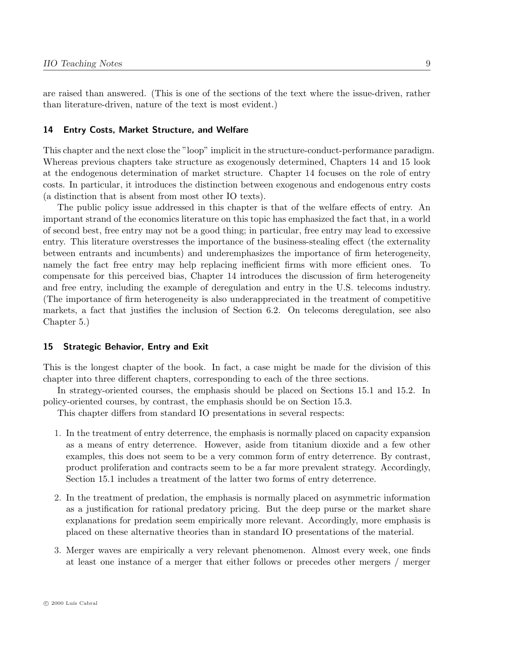are raised than answered. (This is one of the sections of the text where the issue-driven, rather than literature-driven, nature of the text is most evident.)

#### 14 Entry Costs, Market Structure, and Welfare

This chapter and the next close the "loop" implicit in the structure-conduct-performance paradigm. Whereas previous chapters take structure as exogenously determined, Chapters 14 and 15 look at the endogenous determination of market structure. Chapter 14 focuses on the role of entry costs. In particular, it introduces the distinction between exogenous and endogenous entry costs (a distinction that is absent from most other IO texts).

The public policy issue addressed in this chapter is that of the welfare effects of entry. An important strand of the economics literature on this topic has emphasized the fact that, in a world of second best, free entry may not be a good thing; in particular, free entry may lead to excessive entry. This literature overstresses the importance of the business-stealing effect (the externality between entrants and incumbents) and underemphasizes the importance of firm heterogeneity, namely the fact free entry may help replacing inefficient firms with more efficient ones. To compensate for this perceived bias, Chapter 14 introduces the discussion of firm heterogeneity and free entry, including the example of deregulation and entry in the U.S. telecoms industry. (The importance of firm heterogeneity is also underappreciated in the treatment of competitive markets, a fact that justifies the inclusion of Section 6.2. On telecoms deregulation, see also Chapter 5.)

#### 15 Strategic Behavior, Entry and Exit

This is the longest chapter of the book. In fact, a case might be made for the division of this chapter into three different chapters, corresponding to each of the three sections.

In strategy-oriented courses, the emphasis should be placed on Sections 15.1 and 15.2. In policy-oriented courses, by contrast, the emphasis should be on Section 15.3.

This chapter differs from standard IO presentations in several respects:

- 1. In the treatment of entry deterrence, the emphasis is normally placed on capacity expansion as a means of entry deterrence. However, aside from titanium dioxide and a few other examples, this does not seem to be a very common form of entry deterrence. By contrast, product proliferation and contracts seem to be a far more prevalent strategy. Accordingly, Section 15.1 includes a treatment of the latter two forms of entry deterrence.
- 2. In the treatment of predation, the emphasis is normally placed on asymmetric information as a justification for rational predatory pricing. But the deep purse or the market share explanations for predation seem empirically more relevant. Accordingly, more emphasis is placed on these alternative theories than in standard IO presentations of the material.
- 3. Merger waves are empirically a very relevant phenomenon. Almost every week, one finds at least one instance of a merger that either follows or precedes other mergers / merger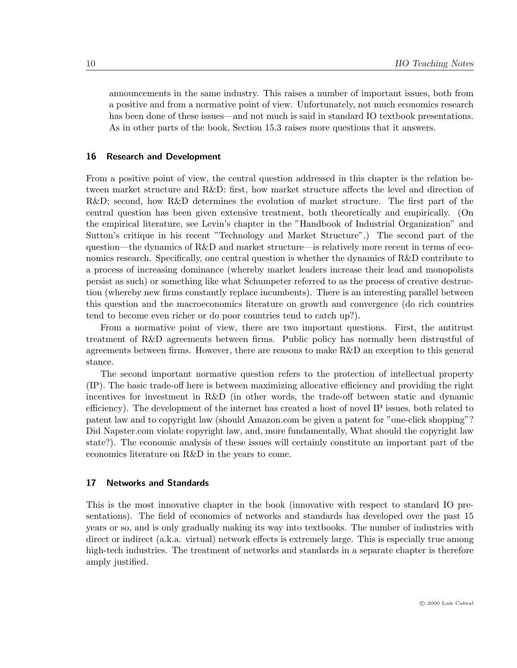announcements in the same industry. This raises a number of important issues, both from a positive and from a normative point of view. Unfortunately, not much economics research has been done of these issues—and not much is said in standard IO textbook presentations. As in other parts of the book, Section 15.3 raises more questions that it answers.

#### 16 Research and Development

From a positive point of view, the central question addressed in this chapter is the relation between market structure and R&D: first, how market structure affects the level and direction of R&D; second, how R&D determines the evolution of market structure. The first part of the central question has been given extensive treatment, both theoretically and empirically. (On the empirical literature, see Levin's chapter in the "Handbook of Industrial Organization" and Sutton's critique in his recent "Technology and Market Structure".) The second part of the question—the dynamics of R&D and market structure—is relatively more recent in terms of economics research. Specifically, one central question is whether the dynamics of R&D contribute to a process of increasing dominance (whereby market leaders increase their lead and monopolists persist as such) or something like what Schumpeter referred to as the process of creative destruction (whereby new firms constantly replace incumbents). There is an interesting parallel between this question and the macroeconomics literature on growth and convergence (do rich countries tend to become even richer or do poor countries tend to catch up?).

From a normative point of view, there are two important questions. First, the antitrust treatment of R&D agreements between firms. Public policy has normally been distrustful of agreements between firms. However, there are reasons to make R&D an exception to this general stance.

The second important normative question refers to the protection of intellectual property (IP). The basic trade-off here is between maximizing allocative efficiency and providing the right incentives for investment in R&D (in other words, the trade-off between static and dynamic efficiency). The development of the internet has created a host of novel IP issues, both related to patent law and to copyright law (should Amazon.com be given a patent for "one-click shopping"? Did Napster.com violate copyright law, and, more fundamentally, What should the copyright law state?). The economic analysis of these issues will certainly constitute an important part of the economics literature on R&D in the years to come.

#### 17 Networks and Standards

This is the most innovative chapter in the book (innovative with respect to standard IO presentations). The field of economics of networks and standards has developed over the past 15 years or so, and is only gradually making its way into textbooks. The number of industries with direct or indirect (a.k.a. virtual) network effects is extremely large. This is especially true among high-tech industries. The treatment of networks and standards in a separate chapter is therefore amply justified.